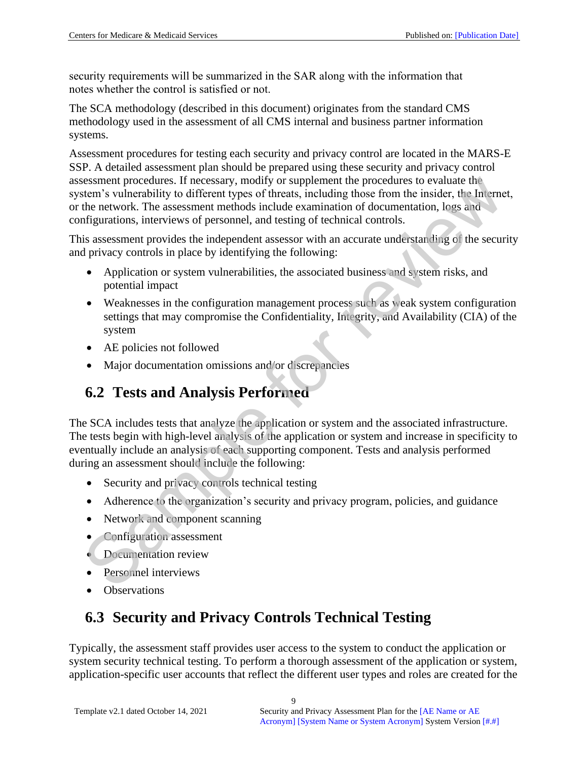security requirements will be summarized in the SAR along with the information that notes whether the control is satisfied or not.

The SCA methodology (described in this document) originates from the standard CMS methodology used in the assessment of all CMS internal and business partner information systems.

Assessment procedures for testing each security and privacy control are located in the MARS-E SSP. A detailed assessment plan should be prepared using these security and privacy control assessment procedures. If necessary, modify or supplement the procedures to evaluate the system's vulnerability to different types of threats, including those from the insider, the Internet, or the network. The assessment methods include examination of documentation, logs and configurations, interviews of personnel, and testing of technical controls.

This assessment provides the independent assessor with an accurate understanding of the security and privacy controls in place by identifying the following:

- Application or system vulnerabilities, the associated business and system risks, and potential impact
- Weaknesses in the configuration management process such as weak system configuration settings that may compromise the Confidentiality, Integrity, and Availability (CIA) of the system
- AE policies not followed
- Major documentation omissions and/or discrepancies

### **6.2 Tests and Analysis Performed**

The SCA includes tests that analyze the application or system and the associated infrastructure. The tests begin with high-level analysis of the application or system and increase in specificity to eventually include an analysis of each supporting component. Tests and analysis performed during an assessment should include the following: Exament procedures. If necessary, modify or supplement the procedures to evaluate the network.<br>
The insteadant procedures in the misdic, the Internal terms is vulnerability to different types of threats, including those f

- Security and privacy controls technical testing
- Adherence to the organization's security and privacy program, policies, and guidance
- Network and component scanning
- Configuration assessment
- Documentation review
- Personnel interviews
- Observations

## <span id="page-15-0"></span>**6.3 Security and Privacy Controls Technical Testing**

Typically, the assessment staff provides user access to the system to conduct the application or system security technical testing. To perform a thorough assessment of the application or system, application-specific user accounts that reflect the different user types and roles are created for the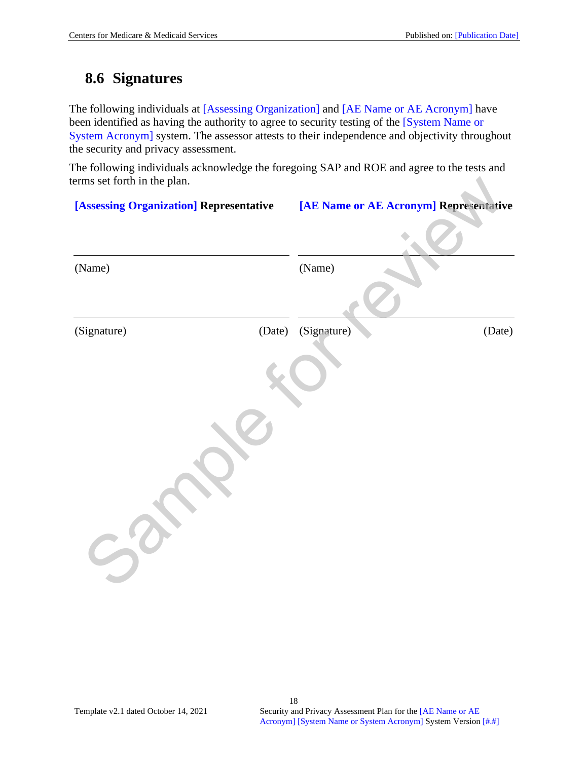#### **8.6 Signatures**

The following individuals at [Assessing Organization] and [AE Name or AE Acronym] have been identified as having the authority to agree to security testing of the [System Name or System Acronym] system. The assessor attests to their independence and objectivity throughout the security and privacy assessment.

The following individuals acknowledge the foregoing SAP and ROE and agree to the tests and terms set forth in the plan.

| [Assessing Organization] Representative | [AE Name or AE Acronym] Representative |
|-----------------------------------------|----------------------------------------|
| (Name)                                  | (Name)                                 |
| (Date)<br>(Signature)                   | (Signature)<br>(Date)                  |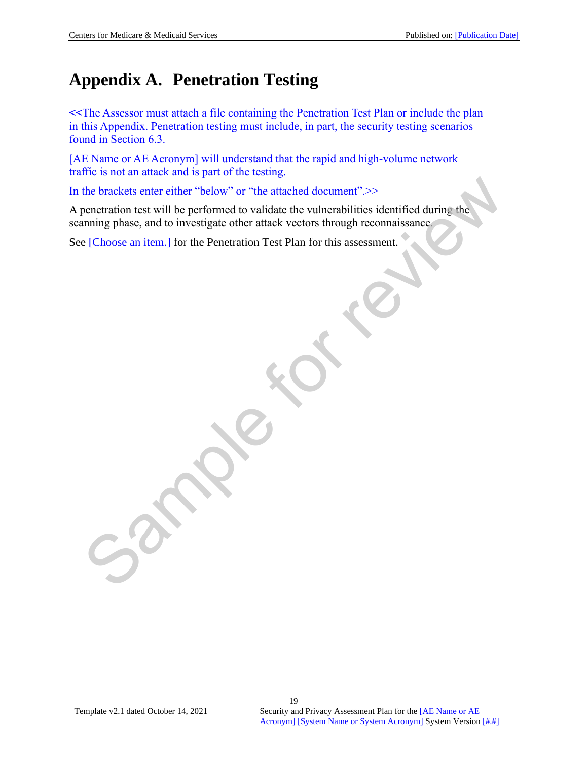## **Appendix A. Penetration Testing**

**<<**The Assessor must attach a file containing the Penetration Test Plan or include the plan in this Appendix. Penetration testing must include, in part, the security testing scenarios found in Section [6.3.](#page-15-0)

[AE Name or AE Acronym] will understand that the rapid and high-volume network traffic is not an attack and is part of the testing.

In the brackets enter either "below" or "the attached document".>>

A penetration test will be performed to validate the vulnerabilities identified during the scanning phase, and to investigate other attack vectors through reconnaissance. the brackets enter either "below" or "the attached document".>><br>conctration test will be performed to validate the vulnerabilities identified during the<br>uning phase, and to investigate other attack vectors through reconnai

See [Choose an item.] for the Penetration Test Plan for this assessment.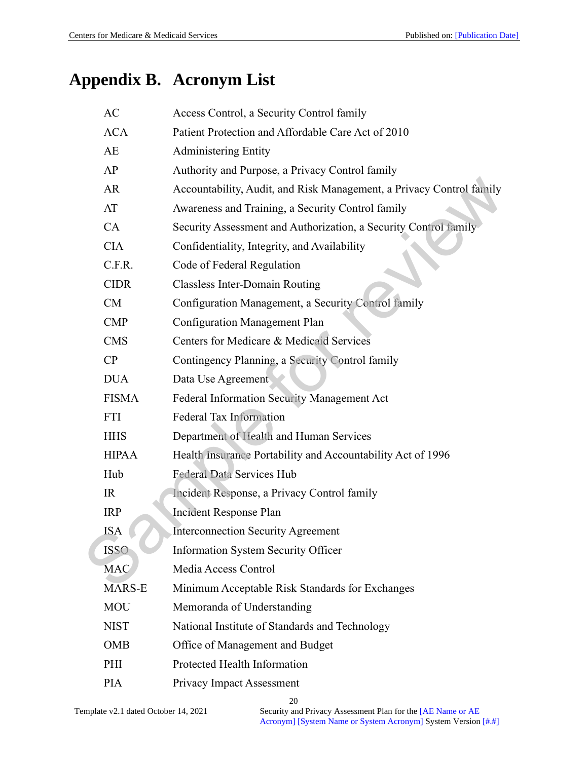# **Appendix B. Acronym List**

| AC            | Access Control, a Security Control family                            |
|---------------|----------------------------------------------------------------------|
| <b>ACA</b>    | Patient Protection and Affordable Care Act of 2010                   |
| AE            | <b>Administering Entity</b>                                          |
| AP            | Authority and Purpose, a Privacy Control family                      |
| <b>AR</b>     | Accountability, Audit, and Risk Management, a Privacy Control family |
| AT            | Awareness and Training, a Security Control family                    |
| CA            | Security Assessment and Authorization, a Security Control family     |
| <b>CIA</b>    | Confidentiality, Integrity, and Availability                         |
| C.F.R.        | Code of Federal Regulation                                           |
| <b>CIDR</b>   | <b>Classless Inter-Domain Routing</b>                                |
| CM            | Configuration Management, a Security Control family                  |
| <b>CMP</b>    | <b>Configuration Management Plan</b>                                 |
| <b>CMS</b>    | Centers for Medicare & Medicaid Services                             |
| CP            | Contingency Planning, a Security Control family                      |
| <b>DUA</b>    | Data Use Agreement                                                   |
| <b>FISMA</b>  | Federal Information Security Management Act                          |
| <b>FTI</b>    | Federal Tax Information                                              |
| <b>HHS</b>    | Department of Health and Human Services                              |
| <b>HIPAA</b>  | Health Insurance Portability and Accountability Act of 1996          |
| Hub           | Federal Data Services Hub                                            |
| IR            | Incident Response, a Privacy Control family                          |
| <b>IRP</b>    | Incident Response Plan                                               |
| <b>ISA</b>    | <b>Interconnection Security Agreement</b>                            |
| <b>ISSO</b>   | <b>Information System Security Officer</b>                           |
| <b>MAC</b>    | Media Access Control                                                 |
| <b>MARS-E</b> | Minimum Acceptable Risk Standards for Exchanges                      |
| <b>MOU</b>    | Memoranda of Understanding                                           |
| <b>NIST</b>   | National Institute of Standards and Technology                       |
| <b>OMB</b>    | Office of Management and Budget                                      |
| PHI           | Protected Health Information                                         |
| <b>PIA</b>    | Privacy Impact Assessment                                            |
|               |                                                                      |